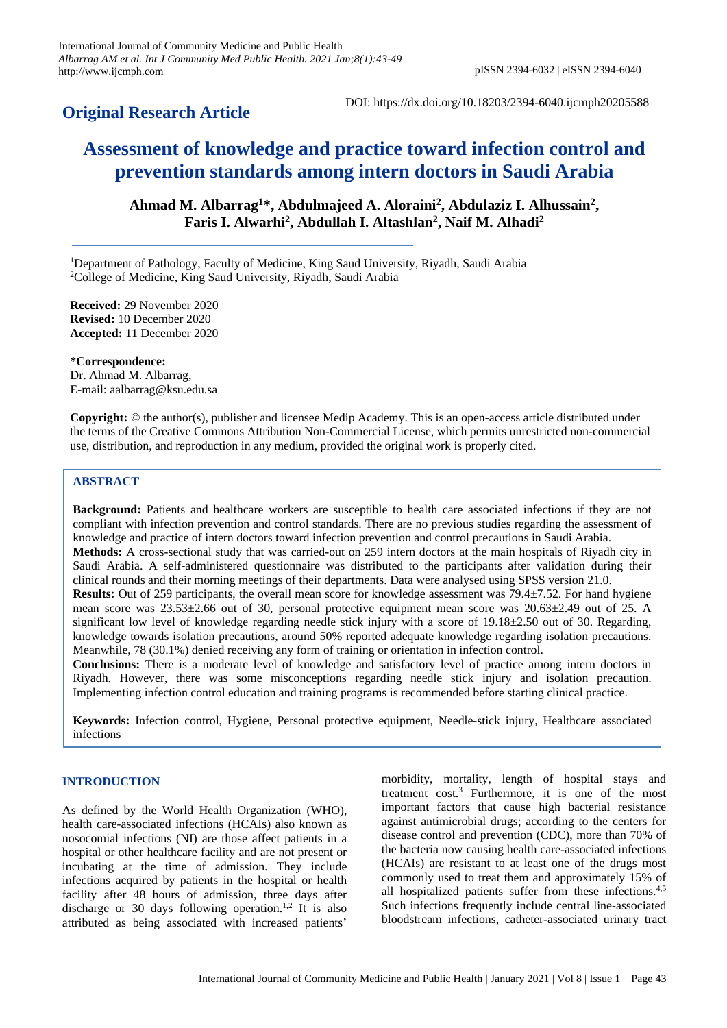# **Original Research Article**

DOI: https://dx.doi.org/10.18203/2394-6040.ijcmph20205588

# **Assessment of knowledge and practice toward infection control and prevention standards among intern doctors in Saudi Arabia**

**Ahmad M. Albarrag<sup>1</sup>\*, Abdulmajeed A. Aloraini<sup>2</sup> , Abdulaziz I. Alhussain<sup>2</sup> , Faris I. Alwarhi<sup>2</sup> , Abdullah I. Altashlan<sup>2</sup> , Naif M. Alhadi<sup>2</sup>**

<sup>1</sup>Department of Pathology, Faculty of Medicine, King Saud University, Riyadh, Saudi Arabia <sup>2</sup>College of Medicine, King Saud University, Riyadh, Saudi Arabia

**Received:** 29 November 2020 **Revised:** 10 December 2020 **Accepted:** 11 December 2020

**\*Correspondence:** Dr. Ahmad M. Albarrag, E-mail: aalbarrag@ksu.edu.sa

**Copyright:** © the author(s), publisher and licensee Medip Academy. This is an open-access article distributed under the terms of the Creative Commons Attribution Non-Commercial License, which permits unrestricted non-commercial use, distribution, and reproduction in any medium, provided the original work is properly cited.

## **ABSTRACT**

**Background:** Patients and healthcare workers are susceptible to health care associated infections if they are not compliant with infection prevention and control standards. There are no previous studies regarding the assessment of knowledge and practice of intern doctors toward infection prevention and control precautions in Saudi Arabia. **Methods:** A cross-sectional study that was carried-out on 259 intern doctors at the main hospitals of Riyadh city in Saudi Arabia. A self-administered questionnaire was distributed to the participants after validation during their clinical rounds and their morning meetings of their departments. Data were analysed using SPSS version 21.0. **Results:** Out of 259 participants, the overall mean score for knowledge assessment was 79.4±7.52. For hand hygiene mean score was 23.53±2.66 out of 30, personal protective equipment mean score was 20.63±2.49 out of 25. A significant low level of knowledge regarding needle stick injury with a score of 19.18±2.50 out of 30. Regarding, knowledge towards isolation precautions, around 50% reported adequate knowledge regarding isolation precautions. Meanwhile, 78 (30.1%) denied receiving any form of training or orientation in infection control.

**Conclusions:** There is a moderate level of knowledge and satisfactory level of practice among intern doctors in Riyadh. However, there was some misconceptions regarding needle stick injury and isolation precaution. Implementing infection control education and training programs is recommended before starting clinical practice.

**Keywords:** Infection control, Hygiene, Personal protective equipment, Needle-stick injury, Healthcare associated infections

#### **INTRODUCTION**

As defined by the World Health Organization (WHO), health care-associated infections (HCAIs) also known as nosocomial infections (NI) are those affect patients in a hospital or other healthcare facility and are not present or incubating at the time of admission. They include infections acquired by patients in the hospital or health facility after 48 hours of admission, three days after discharge or 30 days following operation.<sup>1,2</sup> It is also attributed as being associated with increased patients'

morbidity, mortality, length of hospital stays and treatment cost.<sup>3</sup> Furthermore, it is one of the most important factors that cause high bacterial resistance against antimicrobial drugs; according to the centers for disease control and prevention (CDC), more than 70% of the bacteria now causing health care-associated infections (HCAIs) are resistant to at least one of the drugs most commonly used to treat them and approximately 15% of all hospitalized patients suffer from these infections.4,5 Such infections frequently include central line-associated bloodstream infections, catheter-associated urinary tract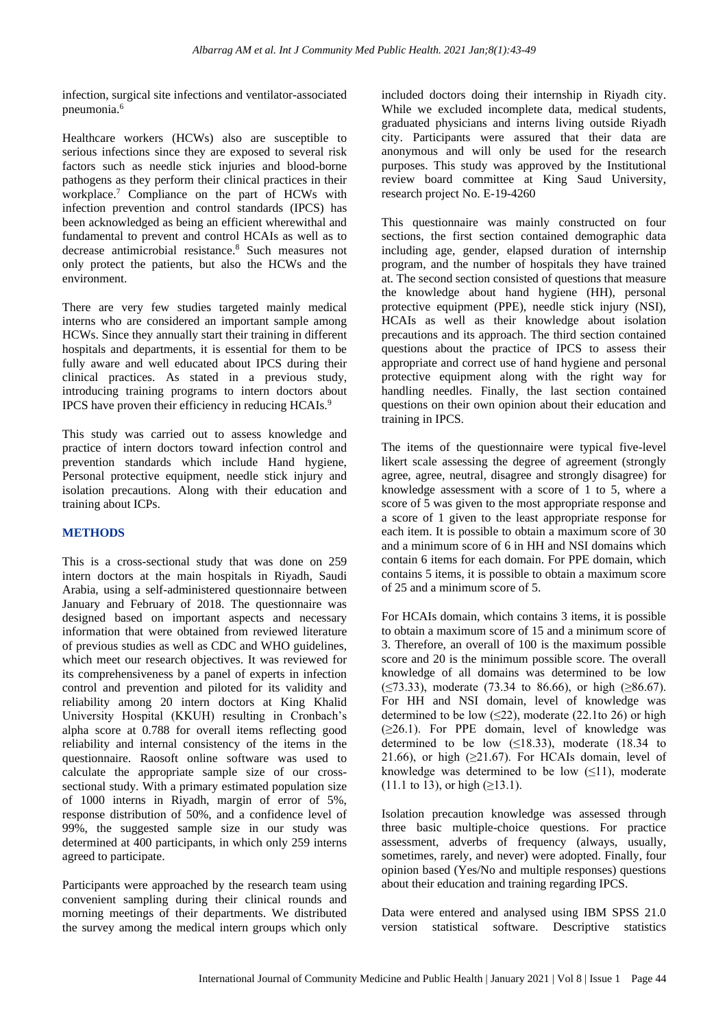infection, surgical site infections and ventilator-associated pneumonia.<sup>6</sup>

Healthcare workers (HCWs) also are susceptible to serious infections since they are exposed to several risk factors such as needle stick injuries and blood-borne pathogens as they perform their clinical practices in their workplace.<sup>7</sup> Compliance on the part of HCWs with infection prevention and control standards (IPCS) has been acknowledged as being an efficient wherewithal and fundamental to prevent and control HCAIs as well as to decrease antimicrobial resistance.<sup>8</sup> Such measures not only protect the patients, but also the HCWs and the environment.

There are very few studies targeted mainly medical interns who are considered an important sample among HCWs. Since they annually start their training in different hospitals and departments, it is essential for them to be fully aware and well educated about IPCS during their clinical practices. As stated in a previous study, introducing training programs to intern doctors about IPCS have proven their efficiency in reducing HCAIs.<sup>9</sup>

This study was carried out to assess knowledge and practice of intern doctors toward infection control and prevention standards which include Hand hygiene, Personal protective equipment, needle stick injury and isolation precautions. Along with their education and training about ICPs.

# **METHODS**

This is a cross-sectional study that was done on 259 intern doctors at the main hospitals in Riyadh, Saudi Arabia, using a self-administered questionnaire between January and February of 2018. The questionnaire was designed based on important aspects and necessary information that were obtained from reviewed literature of previous studies as well as CDC and WHO guidelines, which meet our research objectives. It was reviewed for its comprehensiveness by a panel of experts in infection control and prevention and piloted for its validity and reliability among 20 intern doctors at King Khalid University Hospital (KKUH) resulting in Cronbach's alpha score at 0.788 for overall items reflecting good reliability and internal consistency of the items in the questionnaire. Raosoft online software was used to calculate the appropriate sample size of our crosssectional study. With a primary estimated population size of 1000 interns in Riyadh, margin of error of 5%, response distribution of 50%, and a confidence level of 99%, the suggested sample size in our study was determined at 400 participants, in which only 259 interns agreed to participate.

Participants were approached by the research team using convenient sampling during their clinical rounds and morning meetings of their departments. We distributed the survey among the medical intern groups which only

included doctors doing their internship in Riyadh city. While we excluded incomplete data, medical students, graduated physicians and interns living outside Riyadh city. Participants were assured that their data are anonymous and will only be used for the research purposes. This study was approved by the Institutional review board committee at King Saud University, research project No. E-19-4260

This questionnaire was mainly constructed on four sections, the first section contained demographic data including age, gender, elapsed duration of internship program, and the number of hospitals they have trained at. The second section consisted of questions that measure the knowledge about hand hygiene (HH), personal protective equipment (PPE), needle stick injury (NSI), HCAIs as well as their knowledge about isolation precautions and its approach. The third section contained questions about the practice of IPCS to assess their appropriate and correct use of hand hygiene and personal protective equipment along with the right way for handling needles. Finally, the last section contained questions on their own opinion about their education and training in IPCS.

The items of the questionnaire were typical five-level likert scale assessing the degree of agreement (strongly agree, agree, neutral, disagree and strongly disagree) for knowledge assessment with a score of 1 to 5, where a score of 5 was given to the most appropriate response and a score of 1 given to the least appropriate response for each item. It is possible to obtain a maximum score of 30 and a minimum score of 6 in HH and NSI domains which contain 6 items for each domain. For PPE domain, which contains 5 items, it is possible to obtain a maximum score of 25 and a minimum score of 5.

For HCAIs domain, which contains 3 items, it is possible to obtain a maximum score of 15 and a minimum score of 3. Therefore, an overall of 100 is the maximum possible score and 20 is the minimum possible score. The overall knowledge of all domains was determined to be low  $(\leq 73.33)$ , moderate (73.34 to 86.66), or high ( $\geq 86.67$ ). For HH and NSI domain, level of knowledge was determined to be low  $(\leq 22)$ , moderate (22.1to 26) or high (≥26.1). For PPE domain, level of knowledge was determined to be low  $(≤18.33)$ , moderate  $(18.34)$  to 21.66), or high  $(>21.67)$ . For HCAIs domain, level of knowledge was determined to be low  $(\leq 1)$ , moderate  $(11.1 \text{ to } 13)$ , or high  $(≥13.1)$ .

Isolation precaution knowledge was assessed through three basic multiple-choice questions. For practice assessment, adverbs of frequency (always, usually, sometimes, rarely, and never) were adopted. Finally, four opinion based (Yes/No and multiple responses) questions about their education and training regarding IPCS.

Data were entered and analysed using IBM SPSS 21.0 version statistical software. Descriptive statistics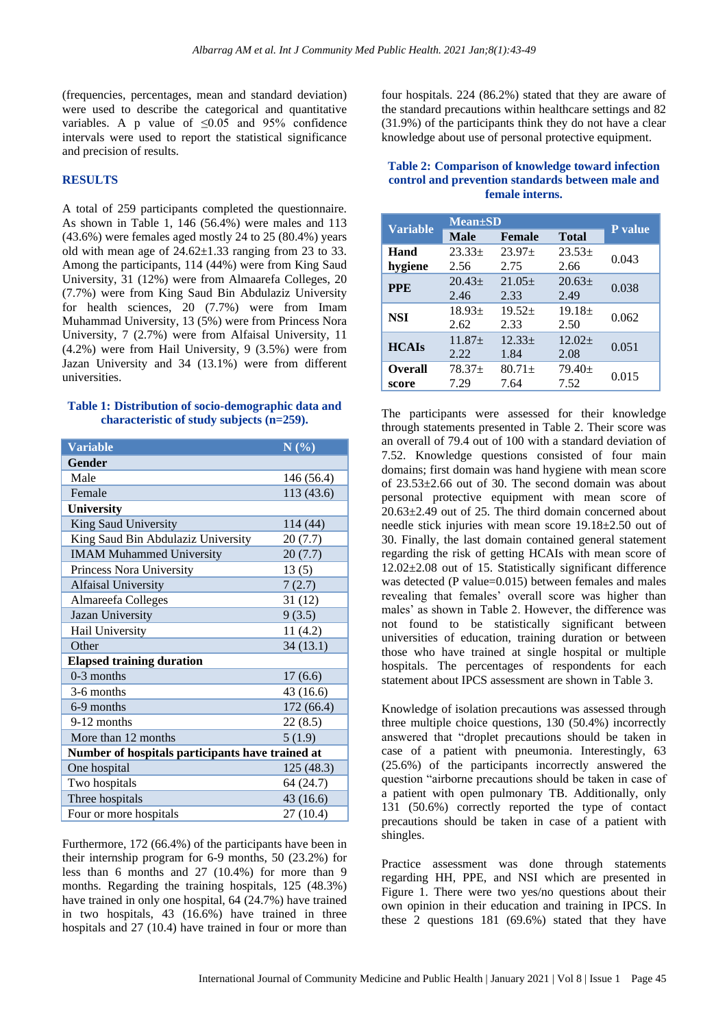(frequencies, percentages, mean and standard deviation) were used to describe the categorical and quantitative variables. A p value of  $\leq 0.05$  and 95% confidence intervals were used to report the statistical significance and precision of results.

## **RESULTS**

A total of 259 participants completed the questionnaire. As shown in Table 1, 146 (56.4%) were males and 113  $(43.6\%)$  were females aged mostly 24 to 25  $(80.4\%)$  years old with mean age of  $24.62 \pm 1.33$  ranging from 23 to 33. Among the participants, 114 (44%) were from King Saud University, 31 (12%) were from Almaarefa Colleges, 20 (7.7%) were from King Saud Bin Abdulaziz University for health sciences, 20 (7.7%) were from Imam Muhammad University, 13 (5%) were from Princess Nora University, 7 (2.7%) were from Alfaisal University, 11 (4.2%) were from Hail University, 9 (3.5%) were from Jazan University and 34 (13.1%) were from different universities.

### **Table 1: Distribution of socio-demographic data and characteristic of study subjects (n=259).**

| <b>Variable</b>                                  | N(%)       |  |  |  |
|--------------------------------------------------|------------|--|--|--|
| Gender                                           |            |  |  |  |
| Male                                             | 146 (56.4) |  |  |  |
| Female                                           | 113 (43.6) |  |  |  |
| <b>University</b>                                |            |  |  |  |
| King Saud University                             | 114 (44)   |  |  |  |
| King Saud Bin Abdulaziz University               | 20(7.7)    |  |  |  |
| <b>IMAM Muhammed University</b>                  | 20(7.7)    |  |  |  |
| Princess Nora University                         | 13(5)      |  |  |  |
| Alfaisal University                              | 7(2.7)     |  |  |  |
| Almareefa Colleges                               | 31(12)     |  |  |  |
| Jazan University                                 | 9(3.5)     |  |  |  |
| Hail University                                  | 11(4.2)    |  |  |  |
| Other                                            | 34(13.1)   |  |  |  |
| <b>Elapsed training duration</b>                 |            |  |  |  |
| $0-3$ months                                     | 17(6.6)    |  |  |  |
| 3-6 months                                       | 43 (16.6)  |  |  |  |
| 6-9 months                                       | 172 (66.4) |  |  |  |
| 9-12 months                                      | 22(8.5)    |  |  |  |
| More than 12 months                              | 5(1.9)     |  |  |  |
| Number of hospitals participants have trained at |            |  |  |  |
| One hospital                                     | 125(48.3)  |  |  |  |
| Two hospitals                                    | 64 (24.7)  |  |  |  |
| Three hospitals                                  | 43(16.6)   |  |  |  |
| Four or more hospitals                           | 27 (10.4)  |  |  |  |

Furthermore, 172 (66.4%) of the participants have been in their internship program for 6-9 months, 50 (23.2%) for less than 6 months and 27 (10.4%) for more than 9 months. Regarding the training hospitals, 125 (48.3%) have trained in only one hospital, 64 (24.7%) have trained in two hospitals, 43 (16.6%) have trained in three hospitals and 27 (10.4) have trained in four or more than

four hospitals. 224 (86.2%) stated that they are aware of the standard precautions within healthcare settings and 82 (31.9%) of the participants think they do not have a clear knowledge about use of personal protective equipment.

## **Table 2: Comparison of knowledge toward infection control and prevention standards between male and female interns.**

|                 | <b>Mean</b> ±SD |           |              |         |  |
|-----------------|-----------------|-----------|--------------|---------|--|
| <b>Variable</b> | <b>Male</b>     | Female    | <b>Total</b> | P value |  |
| Hand            | $23.33+$        | $23.97+$  | $23.53+$     | 0.043   |  |
| hygiene         | 2.56            | 2.75      | 2.66         |         |  |
| <b>PPE</b>      | $20.43+$        | $21.05+$  | $20.63 \pm$  | 0.038   |  |
|                 | 2.46            | 2.33      | 2.49         |         |  |
| <b>NSI</b>      | $18.93+$        | $19.52+$  | $19.18+$     | 0.062   |  |
|                 | 2.62            | 2.33      | 2.50         |         |  |
| <b>HCAIs</b>    | $11.87+$        | $12.33+$  | $12.02+$     | 0.051   |  |
|                 | 2.22.           | 1.84      | 2.08         |         |  |
| <b>Overall</b>  | $78.37+$        | $80.71 +$ | $79.40+$     | 0.015   |  |
| score           | 7.29            | 7.64      | 7.52         |         |  |

The participants were assessed for their knowledge through statements presented in Table 2. Their score was an overall of 79.4 out of 100 with a standard deviation of 7.52. Knowledge questions consisted of four main domains; first domain was hand hygiene with mean score of 23.53±2.66 out of 30. The second domain was about personal protective equipment with mean score of 20.63±2.49 out of 25. The third domain concerned about needle stick injuries with mean score 19.18±2.50 out of 30. Finally, the last domain contained general statement regarding the risk of getting HCAIs with mean score of 12.02±2.08 out of 15. Statistically significant difference was detected (P value=0.015) between females and males revealing that females' overall score was higher than males' as shown in Table 2. However, the difference was not found to be statistically significant between universities of education, training duration or between those who have trained at single hospital or multiple hospitals. The percentages of respondents for each statement about IPCS assessment are shown in Table 3.

Knowledge of isolation precautions was assessed through three multiple choice questions, 130 (50.4%) incorrectly answered that "droplet precautions should be taken in case of a patient with pneumonia. Interestingly, 63 (25.6%) of the participants incorrectly answered the question "airborne precautions should be taken in case of a patient with open pulmonary TB. Additionally, only 131 (50.6%) correctly reported the type of contact precautions should be taken in case of a patient with shingles.

Practice assessment was done through statements regarding HH, PPE, and NSI which are presented in Figure 1. There were two yes/no questions about their own opinion in their education and training in IPCS. In these 2 questions 181 (69.6%) stated that they have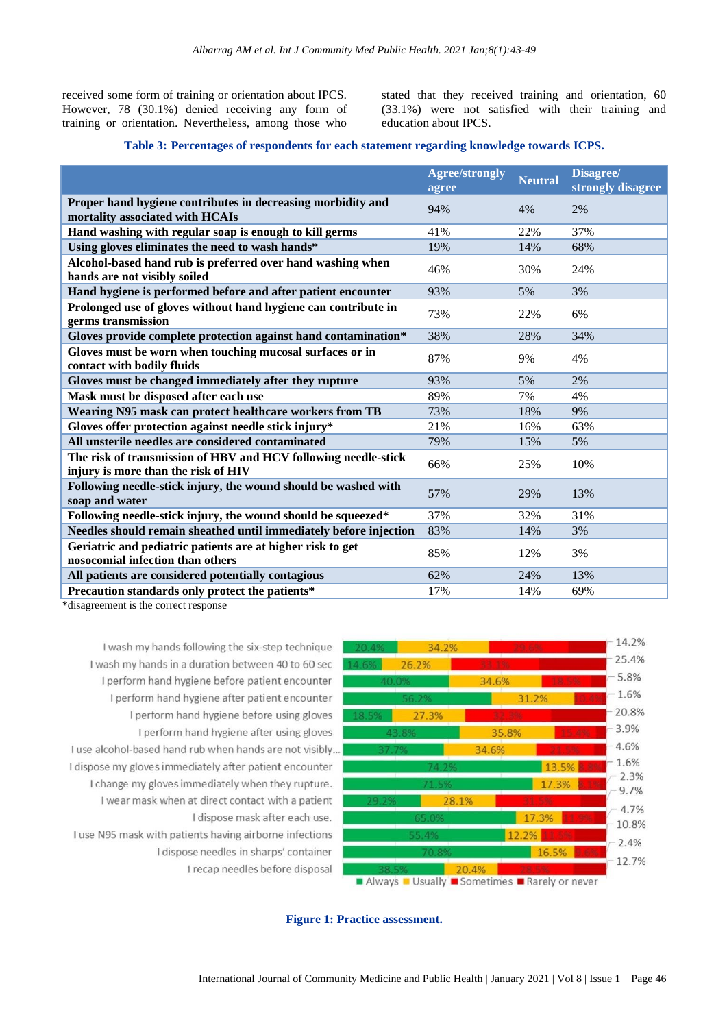received some form of training or orientation about IPCS. However, 78 (30.1%) denied receiving any form of training or orientation. Nevertheless, among those who stated that they received training and orientation, 60 (33.1%) were not satisfied with their training and education about IPCS.

#### **Table 3: Percentages of respondents for each statement regarding knowledge towards ICPS.**

|                                                                                                       | <b>Agree/strongly</b><br>agree | <b>Neutral</b> | Disagree/<br>strongly disagree |
|-------------------------------------------------------------------------------------------------------|--------------------------------|----------------|--------------------------------|
| Proper hand hygiene contributes in decreasing morbidity and<br>mortality associated with HCAIs        | 94%                            | 4%             | 2%                             |
| Hand washing with regular soap is enough to kill germs                                                | 41%                            | 22%            | 37%                            |
| Using gloves eliminates the need to wash hands*                                                       | 19%                            | 14%            | 68%                            |
| Alcohol-based hand rub is preferred over hand washing when<br>hands are not visibly soiled            | 46%                            | 30%            | 24%                            |
| Hand hygiene is performed before and after patient encounter                                          | 93%                            | 5%             | 3%                             |
| Prolonged use of gloves without hand hygiene can contribute in<br>germs transmission                  | 73%                            | 22%            | 6%                             |
| Gloves provide complete protection against hand contamination*                                        | 38%                            | 28%            | 34%                            |
| Gloves must be worn when touching mucosal surfaces or in<br>contact with bodily fluids                | 87%                            | 9%             | 4%                             |
| Gloves must be changed immediately after they rupture                                                 | 93%                            | 5%             | 2%                             |
| Mask must be disposed after each use                                                                  | 89%                            | 7%             | 4%                             |
| Wearing N95 mask can protect healthcare workers from TB                                               | 73%                            | 18%            | 9%                             |
| Gloves offer protection against needle stick injury*                                                  | 21%                            | 16%            | 63%                            |
| All unsterile needles are considered contaminated                                                     | 79%                            | 15%            | 5%                             |
| The risk of transmission of HBV and HCV following needle-stick<br>injury is more than the risk of HIV | 66%                            | 25%            | 10%                            |
| Following needle-stick injury, the wound should be washed with<br>soap and water                      | 57%                            | 29%            | 13%                            |
| Following needle-stick injury, the wound should be squeezed*                                          | 37%                            | 32%            | 31%                            |
| Needles should remain sheathed until immediately before injection                                     | 83%                            | 14%            | 3%                             |
| Geriatric and pediatric patients are at higher risk to get<br>nosocomial infection than others        | 85%                            | 12%            | 3%                             |
| All patients are considered potentially contagious                                                    | 62%                            | 24%            | 13%                            |
| Precaution standards only protect the patients*<br>$*diagonality$ the company $i$                     | 17%                            | 14%            | 69%                            |

\*disagreement is the correct response

I wash my hands following the six-step technique I wash my hands in a duration between 40 to 60 sec I perform hand hygiene before patient encounter I perform hand hygiene after patient encounter I perform hand hygiene before using gloves I perform hand hygiene after using gloves I use alcohol-based hand rub when hands are not visibly... I dispose my gloves immediately after patient encounter I change my gloves immediately when they rupture. I wear mask when at direct contact with a patient I dispose mask after each use. I use N95 mask with patients having airborne infections I dispose needles in sharps' container I recap needles before disposal



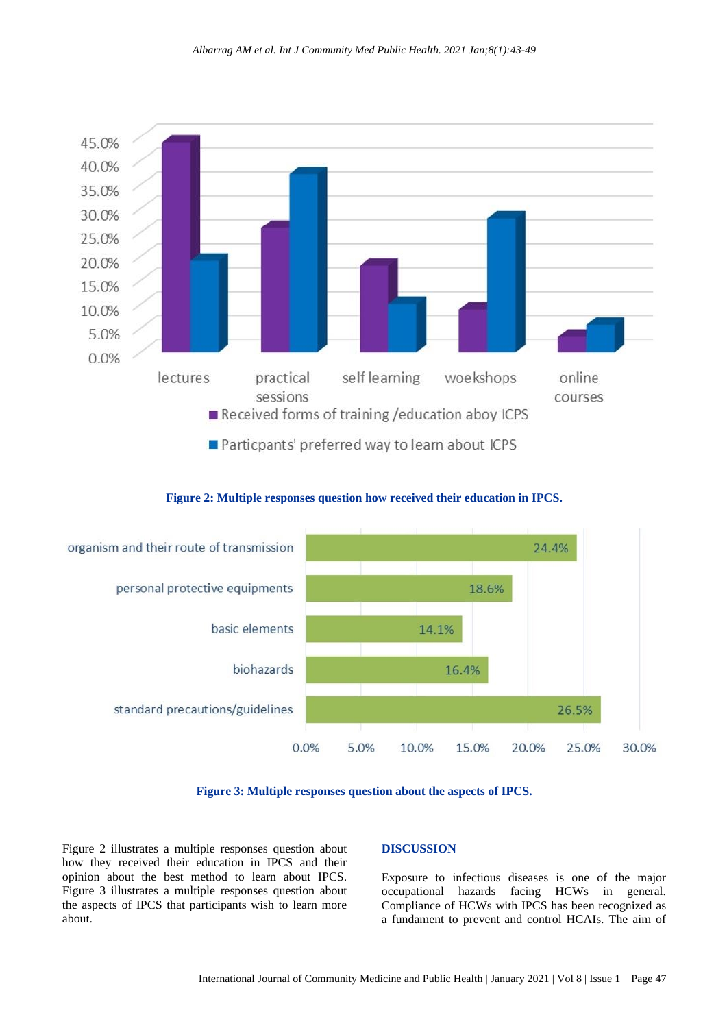

**Figure 2: Multiple responses question how received their education in IPCS.**





Figure 2 illustrates a multiple responses question about how they received their education in IPCS and their opinion about the best method to learn about IPCS. Figure 3 illustrates a multiple responses question about the aspects of IPCS that participants wish to learn more about.

#### **DISCUSSION**

Exposure to infectious diseases is one of the major occupational hazards facing HCWs in general. Compliance of HCWs with IPCS has been recognized as a fundament to prevent and control HCAIs. The aim of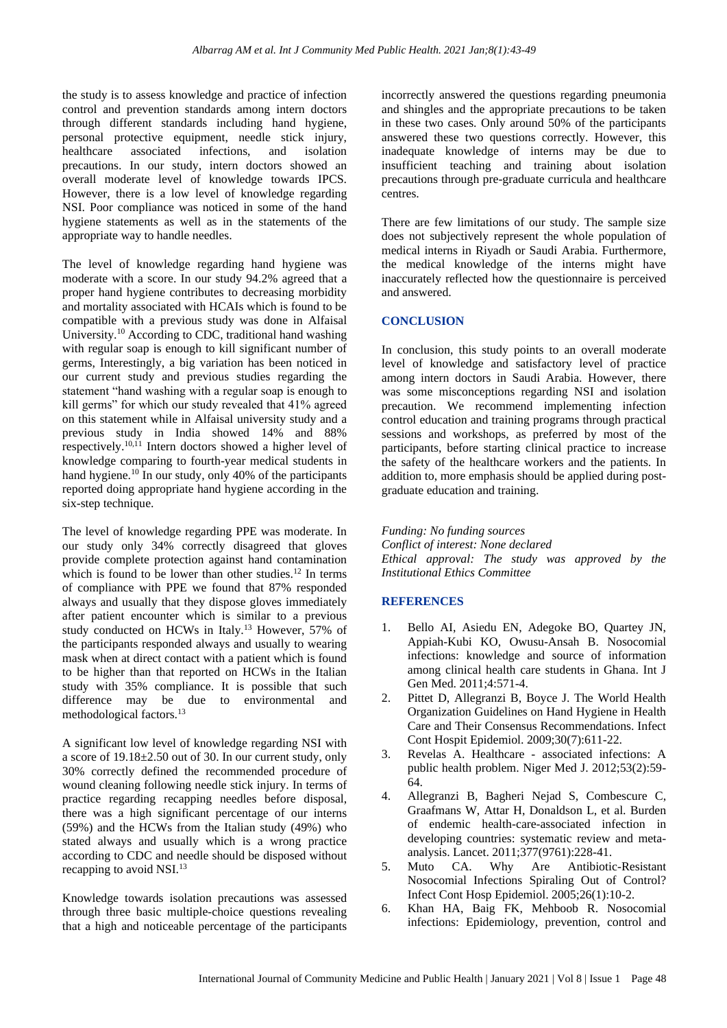the study is to assess knowledge and practice of infection control and prevention standards among intern doctors through different standards including hand hygiene, personal protective equipment, needle stick injury, healthcare associated infections, and isolation precautions. In our study, intern doctors showed an overall moderate level of knowledge towards IPCS. However, there is a low level of knowledge regarding NSI. Poor compliance was noticed in some of the hand hygiene statements as well as in the statements of the appropriate way to handle needles.

The level of knowledge regarding hand hygiene was moderate with a score. In our study 94.2% agreed that a proper hand hygiene contributes to decreasing morbidity and mortality associated with HCAIs which is found to be compatible with a previous study was done in Alfaisal University.<sup>10</sup> According to CDC, traditional hand washing with regular soap is enough to kill significant number of germs, Interestingly, a big variation has been noticed in our current study and previous studies regarding the statement "hand washing with a regular soap is enough to kill germs" for which our study revealed that 41% agreed on this statement while in Alfaisal university study and a previous study in India showed 14% and 88% respectively.10,11 Intern doctors showed a higher level of knowledge comparing to fourth-year medical students in hand hygiene.<sup>10</sup> In our study, only 40% of the participants reported doing appropriate hand hygiene according in the six-step technique.

The level of knowledge regarding PPE was moderate. In our study only 34% correctly disagreed that gloves provide complete protection against hand contamination which is found to be lower than other studies. $12$  In terms of compliance with PPE we found that 87% responded always and usually that they dispose gloves immediately after patient encounter which is similar to a previous study conducted on HCWs in Italy.<sup>13</sup> However, 57% of the participants responded always and usually to wearing mask when at direct contact with a patient which is found to be higher than that reported on HCWs in the Italian study with 35% compliance. It is possible that such difference may be due to environmental and methodological factors.<sup>13</sup>

A significant low level of knowledge regarding NSI with a score of 19.18±2.50 out of 30. In our current study, only 30% correctly defined the recommended procedure of wound cleaning following needle stick injury. In terms of practice regarding recapping needles before disposal, there was a high significant percentage of our interns (59%) and the HCWs from the Italian study (49%) who stated always and usually which is a wrong practice according to CDC and needle should be disposed without recapping to avoid NSI.<sup>13</sup>

Knowledge towards isolation precautions was assessed through three basic multiple-choice questions revealing that a high and noticeable percentage of the participants

incorrectly answered the questions regarding pneumonia and shingles and the appropriate precautions to be taken in these two cases. Only around 50% of the participants answered these two questions correctly. However, this inadequate knowledge of interns may be due to insufficient teaching and training about isolation precautions through pre-graduate curricula and healthcare centres.

There are few limitations of our study. The sample size does not subjectively represent the whole population of medical interns in Riyadh or Saudi Arabia. Furthermore, the medical knowledge of the interns might have inaccurately reflected how the questionnaire is perceived and answered.

#### **CONCLUSION**

In conclusion, this study points to an overall moderate level of knowledge and satisfactory level of practice among intern doctors in Saudi Arabia. However, there was some misconceptions regarding NSI and isolation precaution. We recommend implementing infection control education and training programs through practical sessions and workshops, as preferred by most of the participants, before starting clinical practice to increase the safety of the healthcare workers and the patients. In addition to, more emphasis should be applied during postgraduate education and training.

*Funding: No funding sources Conflict of interest: None declared Ethical approval: The study was approved by the Institutional Ethics Committee*

#### **REFERENCES**

- 1. Bello AI, Asiedu EN, Adegoke BO, Quartey JN, Appiah-Kubi KO, Owusu-Ansah B. Nosocomial infections: knowledge and source of information among clinical health care students in Ghana. Int J Gen Med. 2011;4:571-4.
- 2. Pittet D, Allegranzi B, Boyce J. The World Health Organization Guidelines on Hand Hygiene in Health Care and Their Consensus Recommendations. Infect Cont Hospit Epidemiol. 2009;30(7):611-22.
- 3. Revelas A. Healthcare associated infections: A public health problem. Niger Med J. 2012;53(2):59- 64.
- 4. Allegranzi B, Bagheri Nejad S, Combescure C, Graafmans W, Attar H, Donaldson L, et al. Burden of endemic health-care-associated infection in developing countries: systematic review and metaanalysis. Lancet. 2011;377(9761):228-41.
- 5. Muto CA. Why Are Antibiotic-Resistant Nosocomial Infections Spiraling Out of Control? Infect Cont Hosp Epidemiol. 2005;26(1):10-2.
- 6. Khan HA, Baig FK, Mehboob R. Nosocomial infections: Epidemiology, prevention, control and